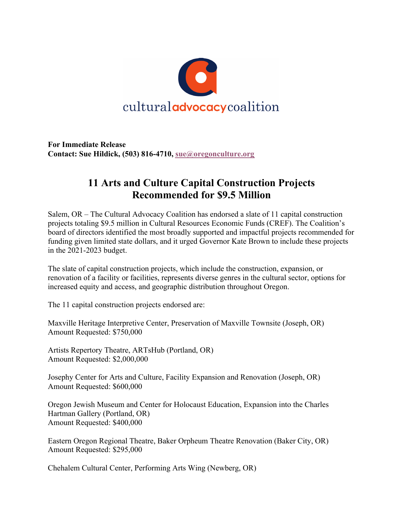

**For Immediate Release Contact: Sue Hildick, (503) 816-4710, sue@oregonculture.org**

## **11 Arts and Culture Capital Construction Projects Recommended for \$9.5 Million**

Salem, OR – The Cultural Advocacy Coalition has endorsed a slate of 11 capital construction projects totaling \$9.5 million in Cultural Resources Economic Funds (CREF). The Coalition's board of directors identified the most broadly supported and impactful projects recommended for funding given limited state dollars, and it urged Governor Kate Brown to include these projects in the 2021-2023 budget.

The slate of capital construction projects, which include the construction, expansion, or renovation of a facility or facilities, represents diverse genres in the cultural sector, options for increased equity and access, and geographic distribution throughout Oregon.

The 11 capital construction projects endorsed are:

Maxville Heritage Interpretive Center, Preservation of Maxville Townsite (Joseph, OR) Amount Requested: \$750,000

Artists Repertory Theatre, ARTsHub (Portland, OR) Amount Requested: \$2,000,000

Josephy Center for Arts and Culture, Facility Expansion and Renovation (Joseph, OR) Amount Requested: \$600,000

Oregon Jewish Museum and Center for Holocaust Education, Expansion into the Charles Hartman Gallery (Portland, OR) Amount Requested: \$400,000

Eastern Oregon Regional Theatre, Baker Orpheum Theatre Renovation (Baker City, OR) Amount Requested: \$295,000

Chehalem Cultural Center, Performing Arts Wing (Newberg, OR)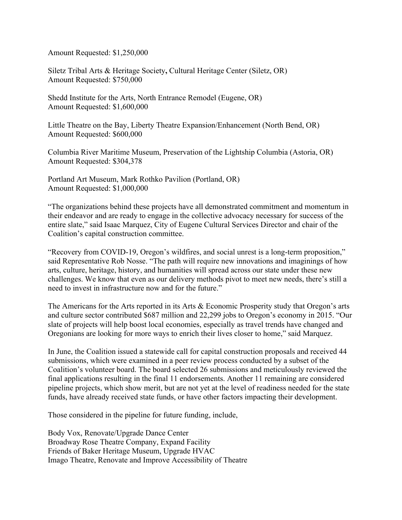Amount Requested: \$1,250,000

Siletz Tribal Arts & Heritage Society**,** Cultural Heritage Center (Siletz, OR) Amount Requested: \$750,000

Shedd Institute for the Arts, North Entrance Remodel (Eugene, OR) Amount Requested: \$1,600,000

Little Theatre on the Bay, Liberty Theatre Expansion/Enhancement (North Bend, OR) Amount Requested: \$600,000

Columbia River Maritime Museum, Preservation of the Lightship Columbia (Astoria, OR) Amount Requested: \$304,378

Portland Art Museum, Mark Rothko Pavilion (Portland, OR) Amount Requested: \$1,000,000

"The organizations behind these projects have all demonstrated commitment and momentum in their endeavor and are ready to engage in the collective advocacy necessary for success of the entire slate," said Isaac Marquez, City of Eugene Cultural Services Director and chair of the Coalition's capital construction committee.

"Recovery from COVID-19, Oregon's wildfires, and social unrest is a long-term proposition," said Representative Rob Nosse. "The path will require new innovations and imaginings of how arts, culture, heritage, history, and humanities will spread across our state under these new challenges. We know that even as our delivery methods pivot to meet new needs, there's still a need to invest in infrastructure now and for the future."

The Americans for the Arts reported in its Arts & Economic Prosperity study that Oregon's arts and culture sector contributed \$687 million and 22,299 jobs to Oregon's economy in 2015. "Our slate of projects will help boost local economies, especially as travel trends have changed and Oregonians are looking for more ways to enrich their lives closer to home," said Marquez.

In June, the Coalition issued a statewide call for capital construction proposals and received 44 submissions, which were examined in a peer review process conducted by a subset of the Coalition's volunteer board. The board selected 26 submissions and meticulously reviewed the final applications resulting in the final 11 endorsements. Another 11 remaining are considered pipeline projects, which show merit, but are not yet at the level of readiness needed for the state funds, have already received state funds, or have other factors impacting their development.

Those considered in the pipeline for future funding, include,

Body Vox, Renovate/Upgrade Dance Center Broadway Rose Theatre Company, Expand Facility Friends of Baker Heritage Museum, Upgrade HVAC Imago Theatre, Renovate and Improve Accessibility of Theatre